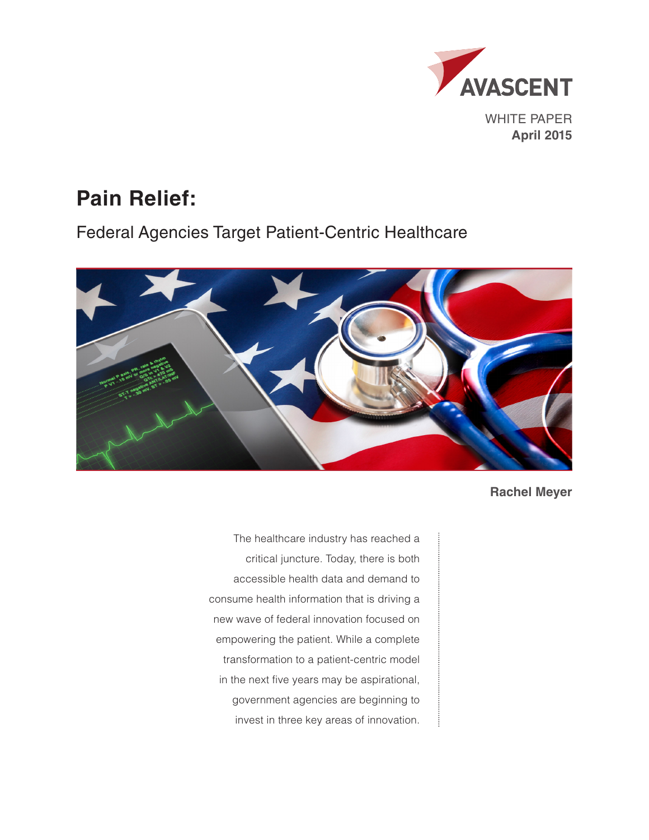

## **Pain Relief:**

Federal Agencies Target Patient-Centric Healthcare



**Rachel Meyer**

The healthcare industry has reached a critical juncture. Today, there is both accessible health data and demand to consume health information that is driving a new wave of federal innovation focused on empowering the patient. While a complete transformation to a patient-centric model in the next five years may be aspirational, government agencies are beginning to invest in three key areas of innovation.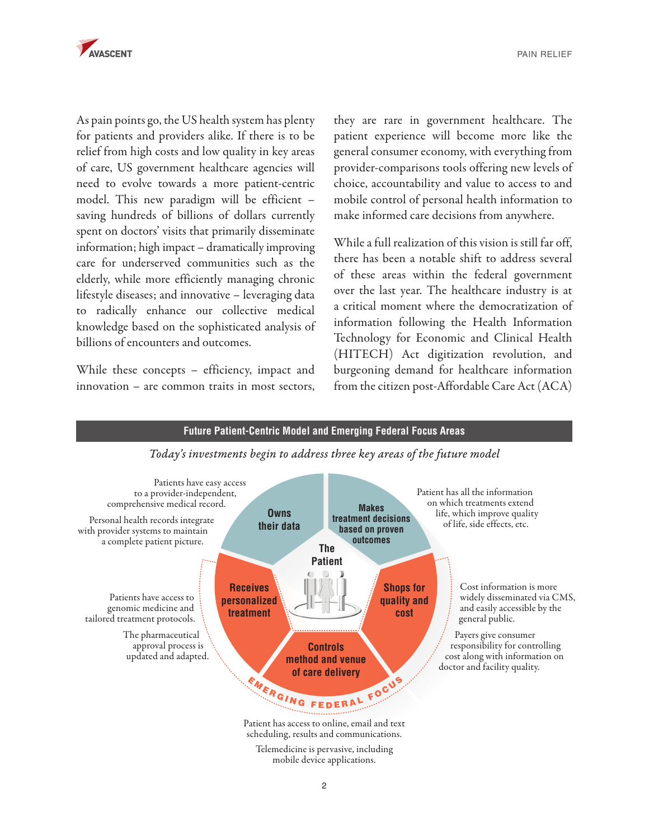

As pain points go, the US health system has plenty for patients and providers alike. If there is to be relief from high costs and low quality in key areas of care, US government healthcare agencies will need to evolve towards a more patient-centric model. This new paradigm will be efficient – saving hundreds of billions of dollars currently spent on doctors' visits that primarily disseminate information; high impact – dramatically improving care for underserved communities such as the elderly, while more efficiently managing chronic lifestyle diseases; and innovative – leveraging data to radically enhance our collective medical knowledge based on the sophisticated analysis of billions of encounters and outcomes.

While these concepts – efficiency, impact and innovation – are common traits in most sectors,

they are rare in government healthcare. The patient experience will become more like the general consumer economy, with everything from provider-comparisons tools offering new levels of choice, accountability and value to access to and mobile control of personal health information to make informed care decisions from anywhere.

While a full realization of this vision is still far off, there has been a notable shift to address several of these areas within the federal government over the last year. The healthcare industry is at a critical moment where the democratization of information following the Health Information Technology for Economic and Clinical Health (HITECH) Act digitization revolution, and burgeoning demand for healthcare information from the citizen post-Affordable Care Act (ACA)

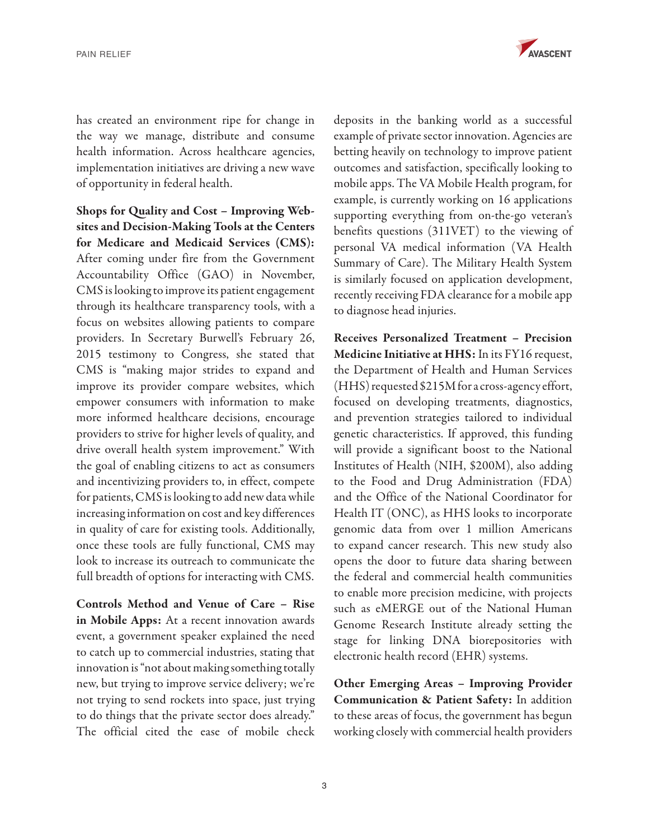

has created an environment ripe for change in the way we manage, distribute and consume health information. Across healthcare agencies, implementation initiatives are driving a new wave of opportunity in federal health.

Shops for Quality and Cost – Improving Websites and Decision-Making Tools at the Centers for Medicare and Medicaid Services (CMS): After coming under fire from the Government Accountability Office (GAO) in November, CMS is looking to improve its patient engagement through its healthcare transparency tools, with a focus on websites allowing patients to compare providers. In Secretary Burwell's February 26, 2015 testimony to Congress, she stated that CMS is "making major strides to expand and improve its provider compare websites, which empower consumers with information to make more informed healthcare decisions, encourage providers to strive for higher levels of quality, and drive overall health system improvement." With the goal of enabling citizens to act as consumers and incentivizing providers to, in effect, compete for patients, CMS is looking to add new data while increasing information on cost and key differences in quality of care for existing tools. Additionally, once these tools are fully functional, CMS may look to increase its outreach to communicate the full breadth of options for interacting with CMS.

Controls Method and Venue of Care – Rise in Mobile Apps: At a recent innovation awards event, a government speaker explained the need to catch up to commercial industries, stating that innovation is "not about making something totally new, but trying to improve service delivery; we're not trying to send rockets into space, just trying to do things that the private sector does already." The official cited the ease of mobile check

deposits in the banking world as a successful example of private sector innovation. Agencies are betting heavily on technology to improve patient outcomes and satisfaction, specifically looking to mobile apps. The VA Mobile Health program, for example, is currently working on 16 applications supporting everything from on-the-go veteran's benefits questions (311VET) to the viewing of personal VA medical information (VA Health Summary of Care). The Military Health System is similarly focused on application development, recently receiving FDA clearance for a mobile app to diagnose head injuries.

Receives Personalized Treatment – Precision Medicine Initiative at HHS: In its FY16 request, the Department of Health and Human Services (HHS) requested \$215M for a cross-agency effort, focused on developing treatments, diagnostics, and prevention strategies tailored to individual genetic characteristics. If approved, this funding will provide a significant boost to the National Institutes of Health (NIH, \$200M), also adding to the Food and Drug Administration (FDA) and the Office of the National Coordinator for Health IT (ONC), as HHS looks to incorporate genomic data from over 1 million Americans to expand cancer research. This new study also opens the door to future data sharing between the federal and commercial health communities to enable more precision medicine, with projects such as eMERGE out of the National Human Genome Research Institute already setting the stage for linking DNA biorepositories with electronic health record (EHR) systems.

Other Emerging Areas – Improving Provider Communication & Patient Safety: In addition to these areas of focus, the government has begun working closely with commercial health providers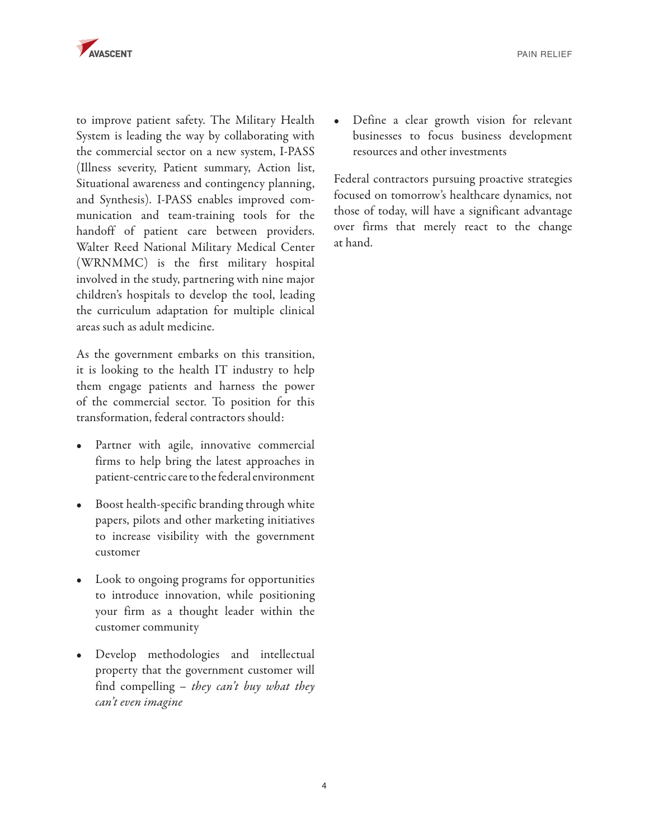

to improve patient safety. The Military Health System is leading the way by collaborating with the commercial sector on a new system, I-PASS (Illness severity, Patient summary, Action list, Situational awareness and contingency planning, and Synthesis). I-PASS enables improved communication and team-training tools for the handoff of patient care between providers. Walter Reed National Military Medical Center (WRNMMC) is the first military hospital involved in the study, partnering with nine major children's hospitals to develop the tool, leading the curriculum adaptation for multiple clinical areas such as adult medicine.

As the government embarks on this transition, it is looking to the health IT industry to help them engage patients and harness the power of the commercial sector. To position for this transformation, federal contractors should:

- Partner with agile, innovative commercial firms to help bring the latest approaches in patient-centric care to the federal environment
- Boost health-specific branding through white papers, pilots and other marketing initiatives to increase visibility with the government customer
- Look to ongoing programs for opportunities to introduce innovation, while positioning your firm as a thought leader within the customer community
- Develop methodologies and intellectual property that the government customer will find compelling – *they can't buy what they can't even imagine*

Define a clear growth vision for relevant businesses to focus business development resources and other investments

Federal contractors pursuing proactive strategies focused on tomorrow's healthcare dynamics, not those of today, will have a significant advantage over firms that merely react to the change at hand.